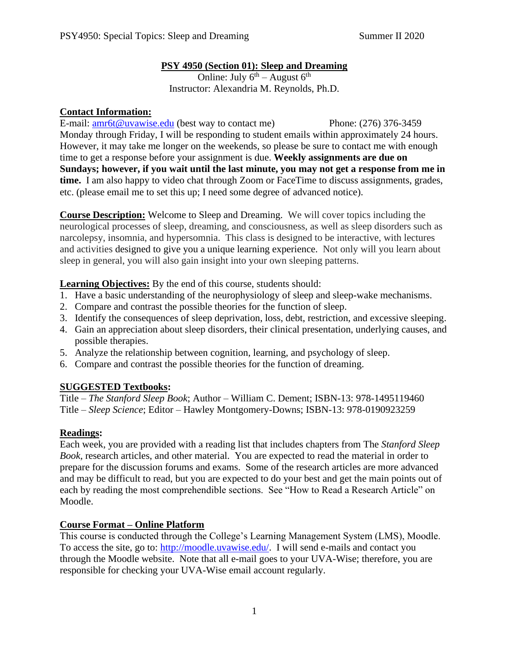#### **PSY 4950 (Section 01): Sleep and Dreaming**

Online: July  $6^{th}$  – August  $6^{th}$ Instructor: Alexandria M. Reynolds, Ph.D.

### **Contact Information:**

E-mail: <u>amr6t@uvawise.edu</u> (best way to contact me) Phone: (276) 376-3459 Monday through Friday, I will be responding to student emails within approximately 24 hours. However, it may take me longer on the weekends, so please be sure to contact me with enough time to get a response before your assignment is due. **Weekly assignments are due on Sundays; however, if you wait until the last minute, you may not get a response from me in time.** I am also happy to video chat through Zoom or FaceTime to discuss assignments, grades, etc. (please email me to set this up; I need some degree of advanced notice).

**Course Description:** Welcome to Sleep and Dreaming. We will cover topics including the neurological processes of sleep, dreaming, and consciousness, as well as sleep disorders such as narcolepsy, insomnia, and hypersomnia. This class is designed to be interactive, with lectures and activities designed to give you a unique learning experience. Not only will you learn about sleep in general, you will also gain insight into your own sleeping patterns.

**Learning Objectives:** By the end of this course, students should:

- 1. Have a basic understanding of the neurophysiology of sleep and sleep-wake mechanisms.
- 2. Compare and contrast the possible theories for the function of sleep.
- 3. Identify the consequences of sleep deprivation, loss, debt, restriction, and excessive sleeping.
- 4. Gain an appreciation about sleep disorders, their clinical presentation, underlying causes, and possible therapies.
- 5. Analyze the relationship between cognition, learning, and psychology of sleep.
- 6. Compare and contrast the possible theories for the function of dreaming.

## **SUGGESTED Textbooks:**

Title – *The Stanford Sleep Book*; Author – William C. Dement; ISBN-13: 978-1495119460 Title – *Sleep Science*; Editor – Hawley Montgomery-Downs; ISBN-13: 978-0190923259

## **Readings:**

Each week, you are provided with a reading list that includes chapters from The *Stanford Sleep Book,* research articles, and other material. You are expected to read the material in order to prepare for the discussion forums and exams. Some of the research articles are more advanced and may be difficult to read, but you are expected to do your best and get the main points out of each by reading the most comprehendible sections. See "How to Read a Research Article" on Moodle.

## **Course Format – Online Platform**

This course is conducted through the College's Learning Management System (LMS), Moodle. To access the site, go to: [http://moodle.uvawise.edu/.](http://moodle.uvawise.edu/) I will send e-mails and contact you through the Moodle website. Note that all e-mail goes to your UVA-Wise; therefore, you are responsible for checking your UVA-Wise email account regularly.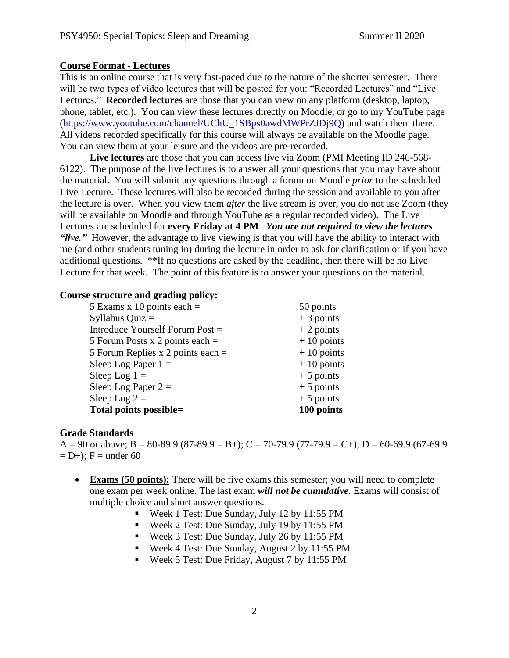#### **Course Format - Lectures**

This is an online course that is very fast-paced due to the nature of the shorter semester. There will be two types of video lectures that will be posted for you: "Recorded Lectures" and "Live Lectures." **Recorded lectures** are those that you can view on any platform (desktop, laptop, phone, tablet, etc.). You can view these lectures directly on Moodle, or go to my YouTube page [\(https://www.youtube.com/channel/UChU\\_1SBps0awdMWPrZJDj9Q\)](https://www.youtube.com/channel/UChU_1SBps0awdMWPrZJDj9Q) and watch them there. All videos recorded specifically for this course will always be available on the Moodle page. You can view them at your leisure and the videos are pre-recorded.

**Live lectures** are those that you can access live via Zoom (PMI Meeting ID 246-568- 6122). The purpose of the live lectures is to answer all your questions that you may have about the material. You will submit any questions through a forum on Moodle *prior* to the scheduled Live Lecture. These lectures will also be recorded during the session and available to you after the lecture is over. When you view them *after* the live stream is over, you do not use Zoom (they will be available on Moodle and through YouTube as a regular recorded video). The Live Lectures are scheduled for **every Friday at 4 PM**. *You are not required to view the lectures "live."* However, the advantage to live viewing is that you will have the ability to interact with me (and other students tuning in) during the lecture in order to ask for clarification or if you have additional questions. \*\*If no questions are asked by the deadline, then there will be no Live Lecture for that week. The point of this feature is to answer your questions on the material.

#### **Course structure and grading policy:**

| 5 Exams x 10 points each $=$        | 50 points    |
|-------------------------------------|--------------|
| Syllabus Quiz $=$                   | $+3$ points  |
| Introduce Yourself Forum Post =     | $+2$ points  |
| 5 Forum Posts x 2 points each $=$   | $+10$ points |
| 5 Forum Replies x 2 points each $=$ | $+10$ points |
| Sleep Log Paper $1 =$               | $+10$ points |
| Sleep Log $1 =$                     | $+5$ points  |
| Sleep Log Paper $2 =$               | $+5$ points  |
| Sleep Log $2 =$                     | $+5$ points  |
| Total points possible=              | 100 points   |

#### **Grade Standards**

A = 90 or above; B = 80-89.9 (87-89.9 = B+); C = 70-79.9 (77-79.9 = C+); D = 60-69.9 (67-69.9  $= D+$ ; F = under 60

- **Exams (50 points):** There will be five exams this semester; you will need to complete one exam per week online. The last exam *will not be cumulative*. Exams will consist of multiple choice and short answer questions.
	- Week 1 Test: Due Sunday, July 12 by 11:55 PM
	- Week 2 Test: Due Sunday, July 19 by 11:55 PM
	- Week 3 Test: Due Sunday, July 26 by 11:55 PM
	- Week 4 Test: Due Sunday, August 2 by 11:55 PM
	- Week 5 Test: Due Friday, August 7 by 11:55 PM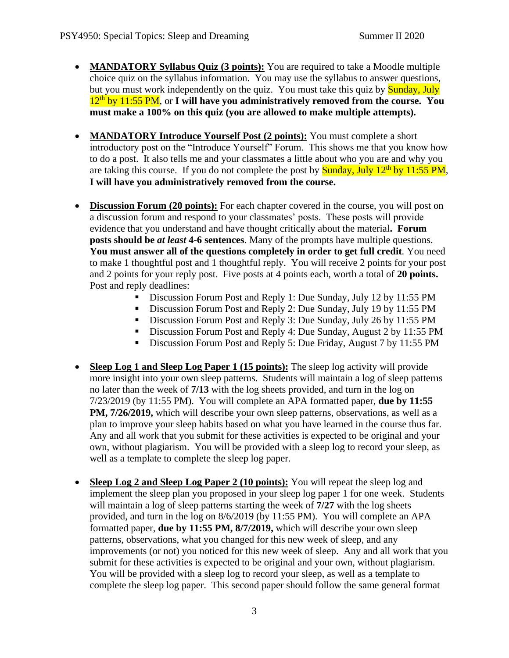- **MANDATORY Syllabus Quiz (3 points):** You are required to take a Moodle multiple choice quiz on the syllabus information. You may use the syllabus to answer questions, but you must work independently on the quiz. You must take this quiz by **Sunday**, July 12<sup>th</sup> by 11:55 PM, or I will have you administratively removed from the course. You **must make a 100% on this quiz (you are allowed to make multiple attempts).**
- **MANDATORY Introduce Yourself Post (2 points):** You must complete a short introductory post on the "Introduce Yourself" Forum. This shows me that you know how to do a post. It also tells me and your classmates a little about who you are and why you are taking this course. If you do not complete the post by **Sunday, July 12<sup>th</sup> by 11:55 PM**, **I will have you administratively removed from the course.**
- **Discussion Forum (20 points):** For each chapter covered in the course, you will post on a discussion forum and respond to your classmates' posts. These posts will provide evidence that you understand and have thought critically about the material**. Forum posts should be** *at least* **4-6 sentences**. Many of the prompts have multiple questions. **You must answer all of the questions completely in order to get full credit***.* You need to make 1 thoughtful post and 1 thoughtful reply. You will receive 2 points for your post and 2 points for your reply post. Five posts at 4 points each, worth a total of **20 points.**  Post and reply deadlines:
	- Discussion Forum Post and Reply 1: Due Sunday, July 12 by 11:55 PM
	- Discussion Forum Post and Reply 2: Due Sunday, July 19 by 11:55 PM
	- Discussion Forum Post and Reply 3: Due Sunday, July 26 by 11:55 PM
	- Discussion Forum Post and Reply 4: Due Sunday, August 2 by 11:55 PM
	- **•** Discussion Forum Post and Reply 5: Due Friday, August 7 by 11:55 PM
- **Sleep Log 1 and Sleep Log Paper 1 (15 points):** The sleep log activity will provide more insight into your own sleep patterns. Students will maintain a log of sleep patterns no later than the week of **7/13** with the log sheets provided, and turn in the log on 7/23/2019 (by 11:55 PM). You will complete an APA formatted paper, **due by 11:55 PM, 7/26/2019,** which will describe your own sleep patterns, observations, as well as a plan to improve your sleep habits based on what you have learned in the course thus far. Any and all work that you submit for these activities is expected to be original and your own, without plagiarism. You will be provided with a sleep log to record your sleep, as well as a template to complete the sleep log paper.
- **Sleep Log 2 and Sleep Log Paper 2 (10 points):** You will repeat the sleep log and implement the sleep plan you proposed in your sleep log paper 1 for one week. Students will maintain a log of sleep patterns starting the week of **7/27** with the log sheets provided, and turn in the log on 8/6/2019 (by 11:55 PM). You will complete an APA formatted paper, **due by 11:55 PM, 8/7/2019,** which will describe your own sleep patterns, observations, what you changed for this new week of sleep, and any improvements (or not) you noticed for this new week of sleep. Any and all work that you submit for these activities is expected to be original and your own, without plagiarism. You will be provided with a sleep log to record your sleep, as well as a template to complete the sleep log paper. This second paper should follow the same general format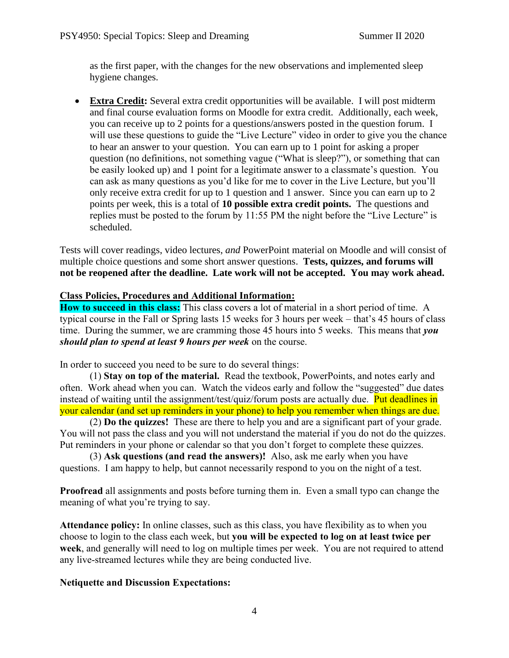as the first paper, with the changes for the new observations and implemented sleep hygiene changes.

• **Extra Credit:** Several extra credit opportunities will be available. I will post midterm and final course evaluation forms on Moodle for extra credit. Additionally, each week, you can receive up to 2 points for a questions/answers posted in the question forum. I will use these questions to guide the "Live Lecture" video in order to give you the chance to hear an answer to your question. You can earn up to 1 point for asking a proper question (no definitions, not something vague ("What is sleep?"), or something that can be easily looked up) and 1 point for a legitimate answer to a classmate's question. You can ask as many questions as you'd like for me to cover in the Live Lecture, but you'll only receive extra credit for up to 1 question and 1 answer. Since you can earn up to 2 points per week, this is a total of **10 possible extra credit points.** The questions and replies must be posted to the forum by 11:55 PM the night before the "Live Lecture" is scheduled.

Tests will cover readings, video lectures, *and* PowerPoint material on Moodle and will consist of multiple choice questions and some short answer questions. **Tests, quizzes, and forums will not be reopened after the deadline. Late work will not be accepted. You may work ahead.**

#### **Class Policies, Procedures and Additional Information:**

**How to succeed in this class:** This class covers a lot of material in a short period of time. A typical course in the Fall or Spring lasts 15 weeks for 3 hours per week – that's 45 hours of class time. During the summer, we are cramming those 45 hours into 5 weeks. This means that *you should plan to spend at least 9 hours per week* on the course.

In order to succeed you need to be sure to do several things:

(1) **Stay on top of the material.** Read the textbook, PowerPoints, and notes early and often. Work ahead when you can. Watch the videos early and follow the "suggested" due dates instead of waiting until the assignment/test/quiz/forum posts are actually due. Put deadlines in your calendar (and set up reminders in your phone) to help you remember when things are due.

(2) **Do the quizzes!** These are there to help you and are a significant part of your grade. You will not pass the class and you will not understand the material if you do not do the quizzes. Put reminders in your phone or calendar so that you don't forget to complete these quizzes.

(3) **Ask questions (and read the answers)!** Also, ask me early when you have questions. I am happy to help, but cannot necessarily respond to you on the night of a test.

**Proofread** all assignments and posts before turning them in. Even a small typo can change the meaning of what you're trying to say.

**Attendance policy:** In online classes, such as this class, you have flexibility as to when you choose to login to the class each week, but **you will be expected to log on at least twice per week**, and generally will need to log on multiple times per week. You are not required to attend any live-streamed lectures while they are being conducted live.

#### **Netiquette and Discussion Expectations:**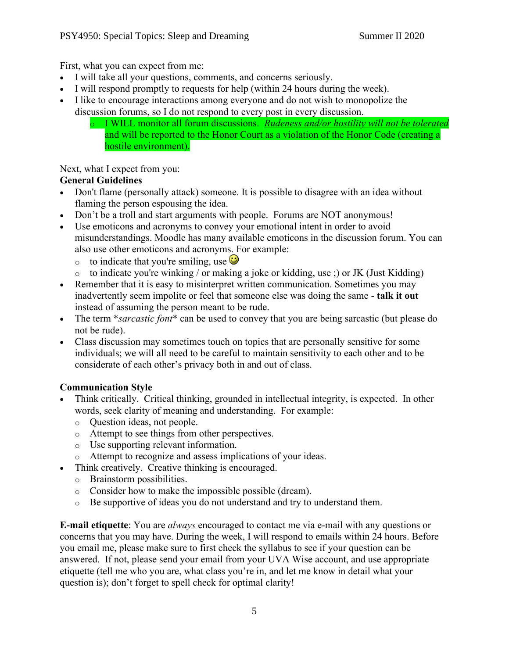First, what you can expect from me:

- I will take all your questions, comments, and concerns seriously.
- I will respond promptly to requests for help (within 24 hours during the week).
- I like to encourage interactions among everyone and do not wish to monopolize the discussion forums, so I do not respond to every post in every discussion.
	- o I WILL monitor all forum discussions. *Rudeness and/or hostility will not be tolerated*  and will be reported to the Honor Court as a violation of the Honor Code (creating a hostile environment).

#### Next, what I expect from you:

### **General Guidelines**

- Don't flame (personally attack) someone. It is possible to disagree with an idea without flaming the person espousing the idea.
- Don't be a troll and start arguments with people. Forums are NOT anonymous!
- Use emoticons and acronyms to convey your emotional intent in order to avoid misunderstandings. Moodle has many available emoticons in the discussion forum. You can also use other emoticons and acronyms. For example:
	- $\circ$  to indicate that you're smiling, use  $\bullet$
	- $\circ$  to indicate you're winking / or making a joke or kidding, use ;) or JK (Just Kidding)
- Remember that it is easy to misinterpret written communication. Sometimes you may inadvertently seem impolite or feel that someone else was doing the same - **talk it out** instead of assuming the person meant to be rude.
- The term *\*sarcastic font* \* can be used to convey that you are being sarcastic (but please do not be rude).
- Class discussion may sometimes touch on topics that are personally sensitive for some individuals; we will all need to be careful to maintain sensitivity to each other and to be considerate of each other's privacy both in and out of class.

## **Communication Style**

- Think critically. Critical thinking, grounded in intellectual integrity, is expected. In other words, seek clarity of meaning and understanding. For example:
	- o Question ideas, not people.
	- o Attempt to see things from other perspectives.
	- o Use supporting relevant information.
	- o Attempt to recognize and assess implications of your ideas.
- Think creatively. Creative thinking is encouraged.
	- o Brainstorm possibilities.
	- o Consider how to make the impossible possible (dream).
	- o Be supportive of ideas you do not understand and try to understand them.

**E-mail etiquette**: You are *always* encouraged to contact me via e-mail with any questions or concerns that you may have. During the week, I will respond to emails within 24 hours. Before you email me, please make sure to first check the syllabus to see if your question can be answered. If not, please send your email from your UVA Wise account, and use appropriate etiquette (tell me who you are, what class you're in, and let me know in detail what your question is); don't forget to spell check for optimal clarity!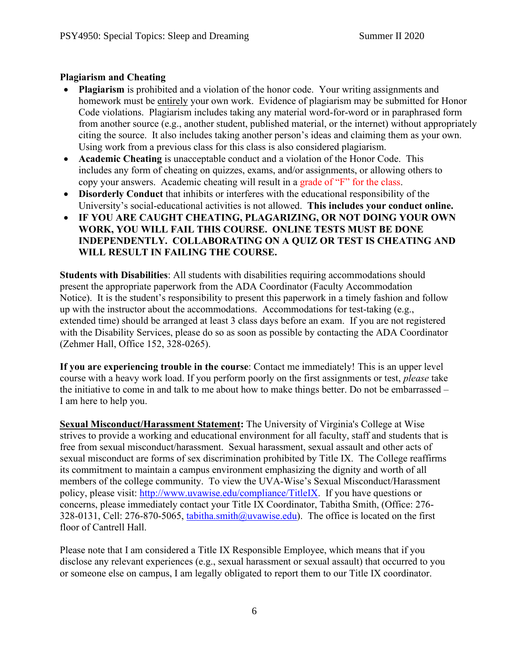#### **Plagiarism and Cheating**

- **Plagiarism** is prohibited and a violation of the honor code. Your writing assignments and homework must be entirely your own work. Evidence of plagiarism may be submitted for Honor Code violations. Plagiarism includes taking any material word-for-word or in paraphrased form from another source (e.g., another student, published material, or the internet) without appropriately citing the source. It also includes taking another person's ideas and claiming them as your own. Using work from a previous class for this class is also considered plagiarism.
- **Academic Cheating** is unacceptable conduct and a violation of the Honor Code. This includes any form of cheating on quizzes, exams, and/or assignments, or allowing others to copy your answers. Academic cheating will result in a grade of "F" for the class.
- **Disorderly Conduct** that inhibits or interferes with the educational responsibility of the University's social-educational activities is not allowed. **This includes your conduct online.**
- **IF YOU ARE CAUGHT CHEATING, PLAGARIZING, OR NOT DOING YOUR OWN WORK, YOU WILL FAIL THIS COURSE. ONLINE TESTS MUST BE DONE INDEPENDENTLY. COLLABORATING ON A QUIZ OR TEST IS CHEATING AND WILL RESULT IN FAILING THE COURSE.**

**Students with Disabilities**: All students with disabilities requiring accommodations should present the appropriate paperwork from the ADA Coordinator (Faculty Accommodation Notice). It is the student's responsibility to present this paperwork in a timely fashion and follow up with the instructor about the accommodations. Accommodations for test-taking (e.g., extended time) should be arranged at least 3 class days before an exam. If you are not registered with the Disability Services, please do so as soon as possible by contacting the ADA Coordinator (Zehmer Hall, Office 152, 328-0265).

**If you are experiencing trouble in the course**: Contact me immediately! This is an upper level course with a heavy work load. If you perform poorly on the first assignments or test, *please* take the initiative to come in and talk to me about how to make things better. Do not be embarrassed – I am here to help you.

**Sexual Misconduct/Harassment Statement:** The University of Virginia's College at Wise strives to provide a working and educational environment for all faculty, staff and students that is free from sexual misconduct/harassment. Sexual harassment, sexual assault and other acts of sexual misconduct are forms of sex discrimination prohibited by Title IX. The College reaffirms its commitment to maintain a campus environment emphasizing the dignity and worth of all members of the college community. To view the UVA-Wise's Sexual Misconduct/Harassment policy, please visit: [http://www.uvawise.edu/compliance/TitleIX.](http://www.uvawise.edu/compliance/TitleIX) If you have questions or concerns, please immediately contact your Title IX Coordinator, Tabitha Smith, (Office: 276 328-0131, Cell: 276-870-5065, [tabitha.smith@uvawise.edu\)](mailto:tabitha.smith@uvawise.edu). The office is located on the first floor of Cantrell Hall.

Please note that I am considered a Title IX Responsible Employee, which means that if you disclose any relevant experiences (e.g., sexual harassment or sexual assault) that occurred to you or someone else on campus, I am legally obligated to report them to our Title IX coordinator.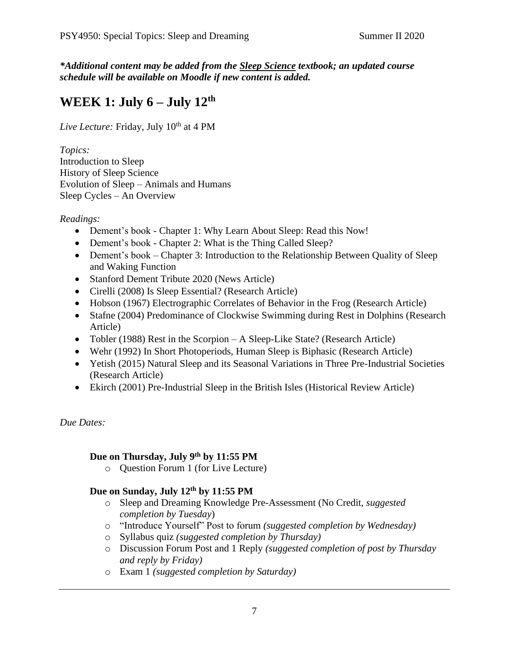*\*Additional content may be added from the Sleep Science textbook; an updated course schedule will be available on Moodle if new content is added.*

# **WEEK 1: July 6 – July 12th**

Live Lecture: Friday, July 10<sup>th</sup> at 4 PM

*Topics:*  Introduction to Sleep History of Sleep Science Evolution of Sleep – Animals and Humans Sleep Cycles – An Overview

*Readings:*

- Dement's book Chapter 1: Why Learn About Sleep: Read this Now!
- Dement's book Chapter 2: What is the Thing Called Sleep?
- Dement's book Chapter 3: Introduction to the Relationship Between Quality of Sleep and Waking Function
- Stanford Dement Tribute 2020 (News Article)
- Cirelli (2008) Is Sleep Essential? (Research Article)
- Hobson (1967) Electrographic Correlates of Behavior in the Frog (Research Article)
- Stafne (2004) Predominance of Clockwise Swimming during Rest in Dolphins (Research Article)
- Tobler (1988) Rest in the Scorpion A Sleep-Like State? (Research Article)
- Wehr (1992) In Short Photoperiods, Human Sleep is Biphasic (Research Article)
- Yetish (2015) Natural Sleep and its Seasonal Variations in Three Pre-Industrial Societies (Research Article)
- Ekirch (2001) Pre-Industrial Sleep in the British Isles (Historical Review Article)

*Due Dates:*

#### **Due on Thursday, July 9th by 11:55 PM**

o Question Forum 1 (for Live Lecture)

#### **Due on Sunday, July 12th by 11:55 PM**

- o Sleep and Dreaming Knowledge Pre-Assessment (No Credit, *suggested completion by Tuesday*)
- o "Introduce Yourself" Post to forum *(suggested completion by Wednesday)*
- o Syllabus quiz *(suggested completion by Thursday)*
- o Discussion Forum Post and 1 Reply *(suggested completion of post by Thursday and reply by Friday)*
- o Exam 1 *(suggested completion by Saturday)*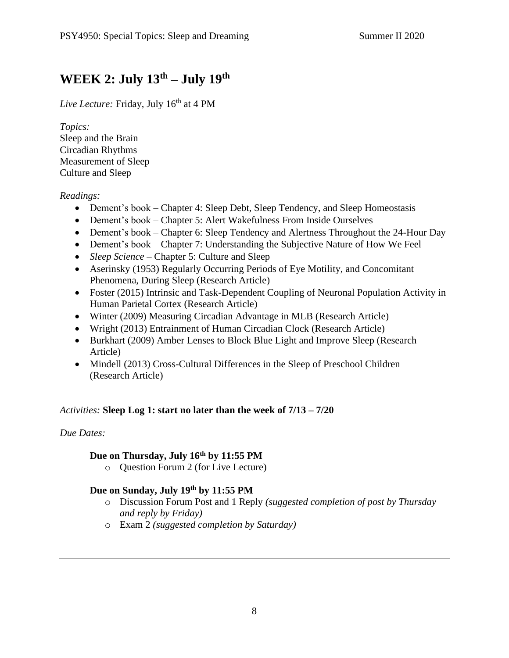# **WEEK 2: July 13th – July 19th**

*Live Lecture:* Friday, July 16<sup>th</sup> at 4 PM

*Topics:* Sleep and the Brain Circadian Rhythms Measurement of Sleep Culture and Sleep

#### *Readings:*

- Dement's book Chapter 4: Sleep Debt, Sleep Tendency, and Sleep Homeostasis
- Dement's book Chapter 5: Alert Wakefulness From Inside Ourselves
- Dement's book Chapter 6: Sleep Tendency and Alertness Throughout the 24-Hour Day
- Dement's book Chapter 7: Understanding the Subjective Nature of How We Feel
- *Sleep Science* Chapter 5: Culture and Sleep
- Aserinsky (1953) Regularly Occurring Periods of Eye Motility, and Concomitant Phenomena, During Sleep (Research Article)
- Foster (2015) Intrinsic and Task-Dependent Coupling of Neuronal Population Activity in Human Parietal Cortex (Research Article)
- Winter (2009) Measuring Circadian Advantage in MLB (Research Article)
- Wright (2013) Entrainment of Human Circadian Clock (Research Article)
- Burkhart (2009) Amber Lenses to Block Blue Light and Improve Sleep (Research Article)
- Mindell (2013) Cross-Cultural Differences in the Sleep of Preschool Children (Research Article)

#### *Activities:* **Sleep Log 1: start no later than the week of 7/13 – 7/20**

#### *Due Dates:*

#### **Due on Thursday, July 16th by 11:55 PM**

o Question Forum 2 (for Live Lecture)

## **Due on Sunday, July 19th by 11:55 PM**

- o Discussion Forum Post and 1 Reply *(suggested completion of post by Thursday and reply by Friday)*
- o Exam 2 *(suggested completion by Saturday)*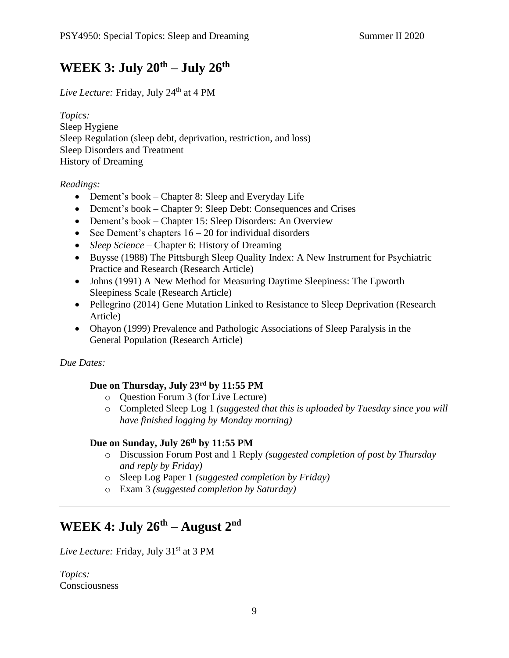## **WEEK 3: July 20th – July 26th**

*Live Lecture:* Friday, July 24<sup>th</sup> at 4 PM

*Topics:*  Sleep Hygiene Sleep Regulation (sleep debt, deprivation, restriction, and loss) Sleep Disorders and Treatment History of Dreaming

*Readings:*

- Dement's book Chapter 8: Sleep and Everyday Life
- Dement's book Chapter 9: Sleep Debt: Consequences and Crises
- Dement's book Chapter 15: Sleep Disorders: An Overview
- See Dement's chapters  $16 20$  for individual disorders
- *Sleep Science* Chapter 6: History of Dreaming
- Buysse (1988) The Pittsburgh Sleep Quality Index: A New Instrument for Psychiatric Practice and Research (Research Article)
- Johns (1991) A New Method for Measuring Daytime Sleepiness: The Epworth Sleepiness Scale (Research Article)
- Pellegrino (2014) Gene Mutation Linked to Resistance to Sleep Deprivation (Research Article)
- Ohayon (1999) Prevalence and Pathologic Associations of Sleep Paralysis in the General Population (Research Article)

*Due Dates:*

## **Due on Thursday, July 23rd by 11:55 PM**

- o Question Forum 3 (for Live Lecture)
- o Completed Sleep Log 1 *(suggested that this is uploaded by Tuesday since you will have finished logging by Monday morning)*

#### **Due on Sunday, July 26th by 11:55 PM**

- o Discussion Forum Post and 1 Reply *(suggested completion of post by Thursday and reply by Friday)*
- o Sleep Log Paper 1 *(suggested completion by Friday)*
- o Exam 3 *(suggested completion by Saturday)*

## **WEEK 4: July 26th – August 2nd**

Live Lecture: Friday, July 31<sup>st</sup> at 3 PM

*Topics:*  **Consciousness**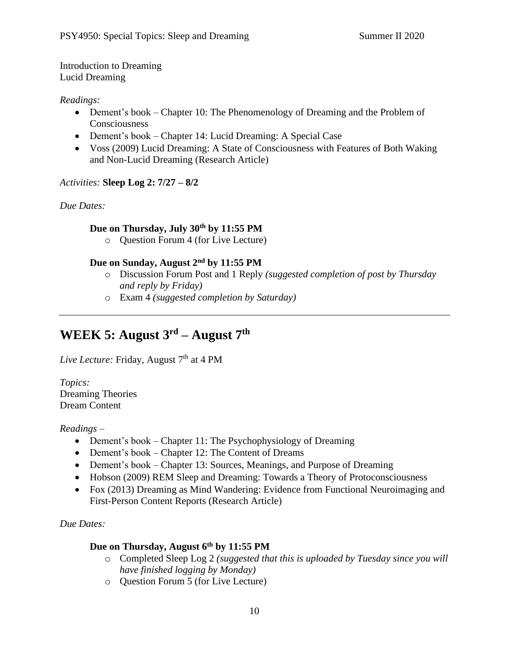Introduction to Dreaming Lucid Dreaming

#### *Readings:*

- Dement's book Chapter 10: The Phenomenology of Dreaming and the Problem of **Consciousness**
- Dement's book Chapter 14: Lucid Dreaming: A Special Case
- Voss (2009) Lucid Dreaming: A State of Consciousness with Features of Both Waking and Non-Lucid Dreaming (Research Article)

## *Activities:* **Sleep Log 2: 7/27 – 8/2**

*Due Dates:*

## **Due on Thursday, July 30th by 11:55 PM**

o Question Forum 4 (for Live Lecture)

## **Due on Sunday, August 2nd by 11:55 PM**

- o Discussion Forum Post and 1 Reply *(suggested completion of post by Thursday and reply by Friday)*
- o Exam 4 *(suggested completion by Saturday)*

# **WEEK 5: August 3rd – August 7th**

*Live Lecture: Friday, August* 7<sup>th</sup> at 4 PM

*Topics:*  Dreaming Theories Dream Content

#### *Readings –*

- Dement's book Chapter 11: The Psychophysiology of Dreaming
- Dement's book Chapter 12: The Content of Dreams
- Dement's book Chapter 13: Sources, Meanings, and Purpose of Dreaming
- Hobson (2009) REM Sleep and Dreaming: Towards a Theory of Protoconsciousness
- Fox (2013) Dreaming as Mind Wandering: Evidence from Functional Neuroimaging and First-Person Content Reports (Research Article)

*Due Dates:*

## **Due on Thursday, August 6th by 11:55 PM**

- o Completed Sleep Log 2 *(suggested that this is uploaded by Tuesday since you will have finished logging by Monday)*
- o Question Forum 5 (for Live Lecture)